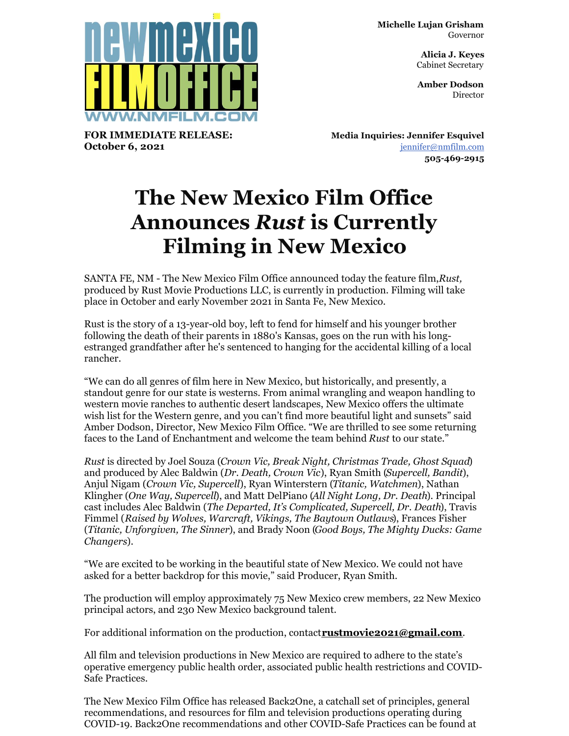**Michelle Lujan Grisham** Governor

> **Alicia J. Keyes** Cabinet Secretary

> **Amber Dodson Director**



**FOR IMMEDIATE RELEASE: October 6, 2021**

**Media Inquiries: Jennifer Esquivel** [jennifer@nmfilm.com](mailto:jennifer@nmfilm.com) **505-469-2915**

## **The New Mexico Film Office Announces** *Rust* **is Currently Filming in New Mexico**

SANTA FE, NM - The New Mexico Film Office announced today the feature film,*Rust,* produced by Rust Movie Productions LLC, is currently in production. Filming will take place in October and early November 2021 in Santa Fe, New Mexico.

Rust is the story of a 13-year-old boy, left to fend for himself and his younger brother following the death of their parents in 1880's Kansas, goes on the run with his longestranged grandfather after he's sentenced to hanging for the accidental killing of a local rancher.

"We can do all genres of film here in New Mexico, but historically, and presently, a standout genre for our state is westerns. From animal wrangling and weapon handling to western movie ranches to authentic desert landscapes, New Mexico offers the ultimate wish list for the Western genre, and you can't find more beautiful light and sunsets" said Amber Dodson, Director, New Mexico Film Office. "We are thrilled to see some returning faces to the Land of Enchantment and welcome the team behind *Rust* to our state."

*Rust* is directed by Joel Souza (*Crown Vic, Break Night, Christmas Trade, Ghost Squad*) and produced by Alec Baldwin (*Dr. Death, Crown Vic*), Ryan Smith (*Supercell, Bandit*), Anjul Nigam (*Crown Vic, Supercell*), Ryan Winterstern (*Titanic, Watchmen*), Nathan Klingher (*One Way, Supercell*), and Matt DelPiano (*All Night Long, Dr. Death*). Principal cast includes Alec Baldwin (*The Departed, It's Complicated, Supercell, Dr. Death*), Travis Fimmel (*Raised by Wolves, Warcraft, Vikings, The Baytown Outlaws*), Frances Fisher (*Titanic, Unforgiven, The Sinner*), and Brady Noon (*Good Boys, The Mighty Ducks: Game Changers*).

"We are excited to be working in the beautiful state of New Mexico. We could not have asked for a better backdrop for this movie," said Producer, Ryan Smith.

The production will employ approximately 75 New Mexico crew members, 22 New Mexico principal actors, and 230 New Mexico background talent.

For additional information on the production, contact**[rustmovie2021@gmail.com](mailto:rustmovie2021@gmail.com)**.

All film and television productions in New Mexico are required to adhere to the state's operative emergency public health order, associated public health restrictions and COVID-Safe Practices.

The New Mexico Film Office has released Back2One, a catchall set of principles, general recommendations, and resources for film and television productions operating during COVID-19. Back2One recommendations and other COVID-Safe Practices can be found at